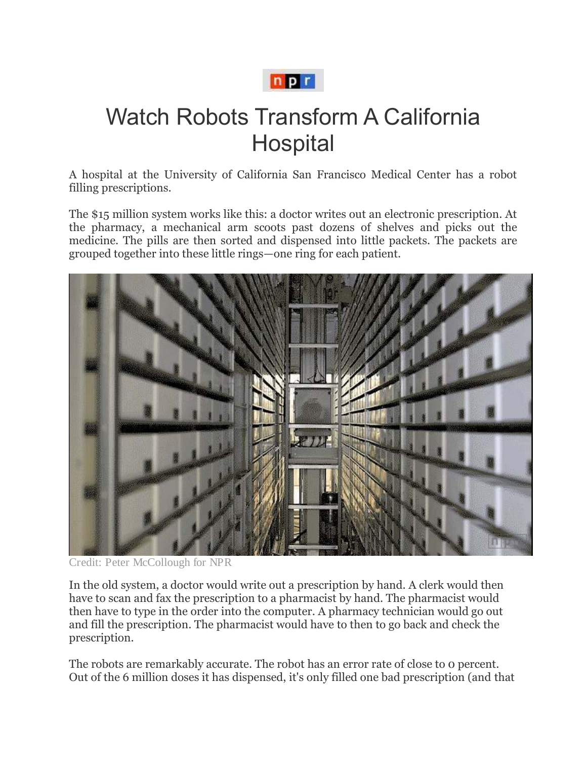

## Watch Robots Transform A California **Hospital**

A hospital at the University of California San Francisco Medical Center has a robot filling prescriptions.

The \$15 million system works like this: a doctor writes out an electronic prescription. At the pharmacy, a mechanical arm scoots past dozens of shelves and picks out the medicine. The pills are then sorted and dispensed into little packets. The packets are grouped together into these little rings—one ring for each patient.



Credit: Peter McCollough for NPR

In the old system, a doctor would write out a prescription by hand. A clerk would then have to scan and fax the prescription to a pharmacist by hand. The pharmacist would then have to type in the order into the computer. A pharmacy technician would go out and fill the prescription. The pharmacist would have to then to go back and check the prescription.

The robots are remarkably accurate. The robot has an error rate of close to 0 percent. Out of the 6 million doses it has dispensed, it's only filled one bad prescription (and that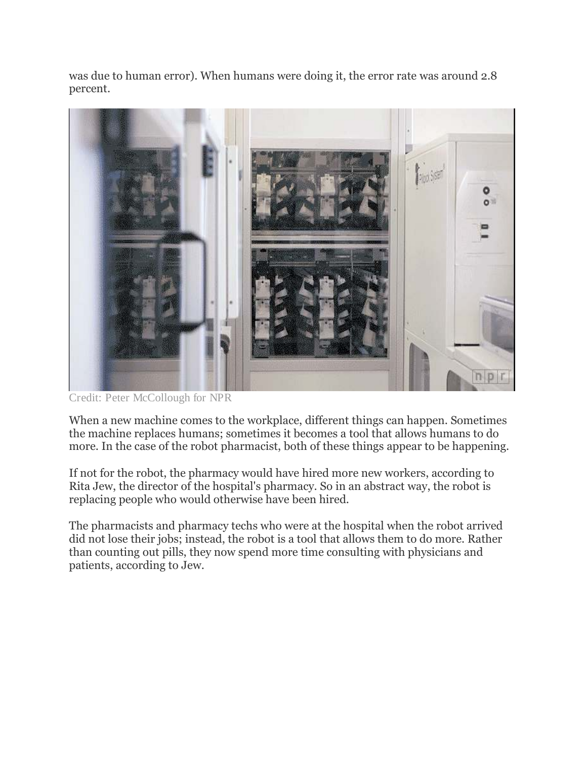was due to human error). When humans were doing it, the error rate was around 2.8 percent.



Credit: Peter McCollough for NPR

When a new machine comes to the workplace, different things can happen. Sometimes the machine replaces humans; sometimes it becomes a tool that allows humans to do more. In the case of the robot pharmacist, both of these things appear to be happening.

If not for the robot, the pharmacy would have hired more new workers, according to Rita Jew, the director of the hospital's pharmacy. So in an abstract way, the robot is replacing people who would otherwise have been hired.

The pharmacists and pharmacy techs who were at the hospital when the robot arrived did not lose their jobs; instead, the robot is a tool that allows them to do more. Rather than counting out pills, they now spend more time consulting with physicians and patients, according to Jew.